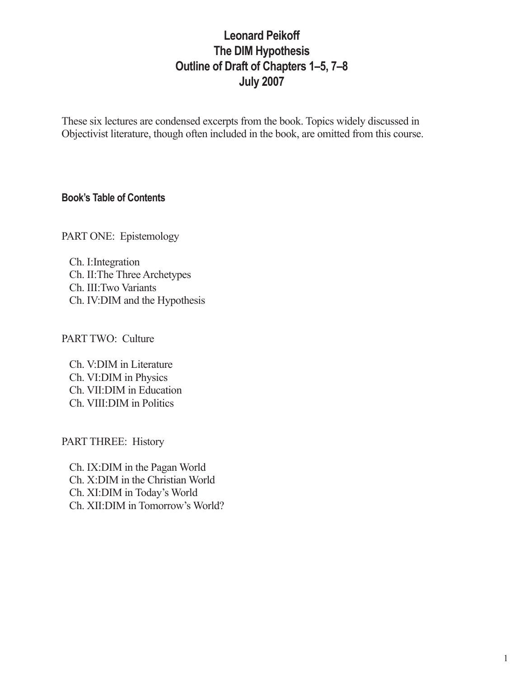# **Leonard Peikoff The DIM Hypothesis Outline of Draft of Chapters 1–5, 7–8 July 2007**

These six lectures are condensed excerpts from the book. Topics widely discussed in Objectivist literature, though often included in the book, are omitted from this course.

### **Book's Table of Contents**

PART ONE: Epistemology

Ch. I:Integration Ch. II:The Three Archetypes Ch. III:Two Variants Ch. IV:DIM and the Hypothesis

PART TWO: Culture

Ch. V:DIM in Literature Ch. VI:DIM in Physics Ch. VII:DIM in Education Ch. VIII:DIM in Politics

PART THREE: History

Ch. IX:DIM in the Pagan World Ch. X:DIM in the Christian World Ch. XI:DIM in Today's World Ch. XII:DIM in Tomorrow's World?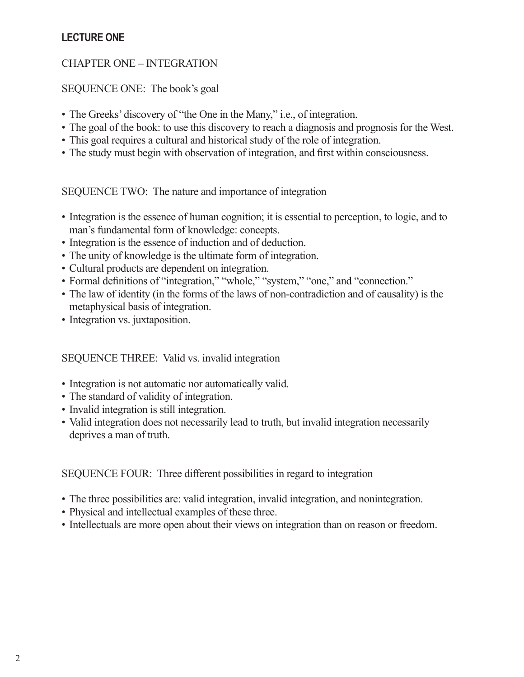### **LECTURE ONE**

### CHAPTER ONE – INTEGRATION

SEQUENCE ONE: The book's goal

- The Greeks' discovery of "the One in the Many," i.e., of integration.
- The goal of the book: to use this discovery to reach a diagnosis and prognosis for the West.
- This goal requires a cultural and historical study of the role of integration.
- The study must begin with observation of integration, and first within consciousness.

SEQUENCE TWO: The nature and importance of integration

- Integration is the essence of human cognition; it is essential to perception, to logic, and to man's fundamental form of knowledge: concepts.
- Integration is the essence of induction and of deduction.
- The unity of knowledge is the ultimate form of integration.
- Cultural products are dependent on integration.
- Formal definitions of "integration," "whole," "system," "one," and "connection."
- The law of identity (in the forms of the laws of non-contradiction and of causality) is the metaphysical basis of integration.
- Integration vs. juxtaposition.

### SEQUENCE THREE: Valid vs. invalid integration

- Integration is not automatic nor automatically valid.
- The standard of validity of integration.
- Invalid integration is still integration.
- Valid integration does not necessarily lead to truth, but invalid integration necessarily deprives a man of truth.

### SEQUENCE FOUR: Three different possibilities in regard to integration

- The three possibilities are: valid integration, invalid integration, and nonintegration.
- Physical and intellectual examples of these three.
- Intellectuals are more open about their views on integration than on reason or freedom.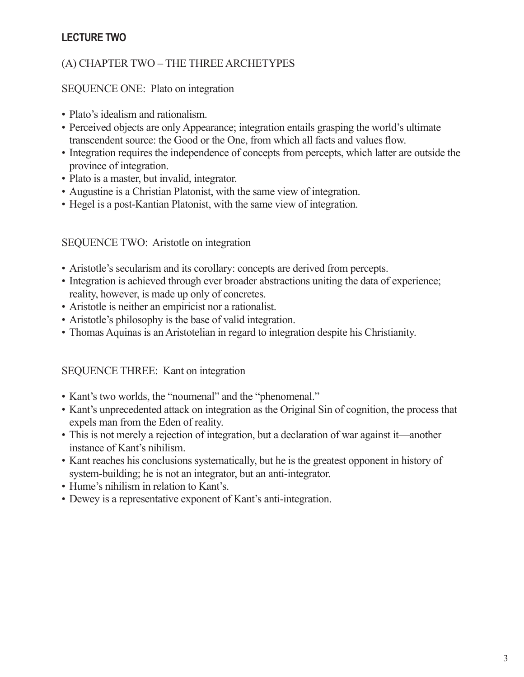## **LECTURE TWO**

### (A) CHAPTER TWO – THE THREE ARCHETYPES

### SEQUENCE ONE: Plato on integration

- Plato's idealism and rationalism
- Perceived objects are only Appearance; integration entails grasping the world's ultimate transcendent source: the Good or the One, from which all facts and values flow.
- Integration requires the independence of concepts from percepts, which latter are outside the province of integration.
- Plato is a master, but invalid, integrator.
- Augustine is a Christian Platonist, with the same view of integration.
- Hegel is a post-Kantian Platonist, with the same view of integration.

#### SEQUENCE TWO: Aristotle on integration

- Aristotle's secularism and its corollary: concepts are derived from percepts.
- Integration is achieved through ever broader abstractions uniting the data of experience; reality, however, is made up only of concretes.
- Aristotle is neither an empiricist nor a rationalist.
- Aristotle's philosophy is the base of valid integration.
- Thomas Aquinas is an Aristotelian in regard to integration despite his Christianity.

### SEQUENCE THREE: Kant on integration

- Kant's two worlds, the "noumenal" and the "phenomenal."
- Kant's unprecedented attack on integration as the Original Sin of cognition, the process that expels man from the Eden of reality.
- This is not merely a rejection of integration, but a declaration of war against it—another instance of Kant's nihilism.
- Kant reaches his conclusions systematically, but he is the greatest opponent in history of system-building; he is not an integrator, but an anti-integrator.
- Hume's nihilism in relation to Kant's.
- Dewey is a representative exponent of Kant's anti-integration.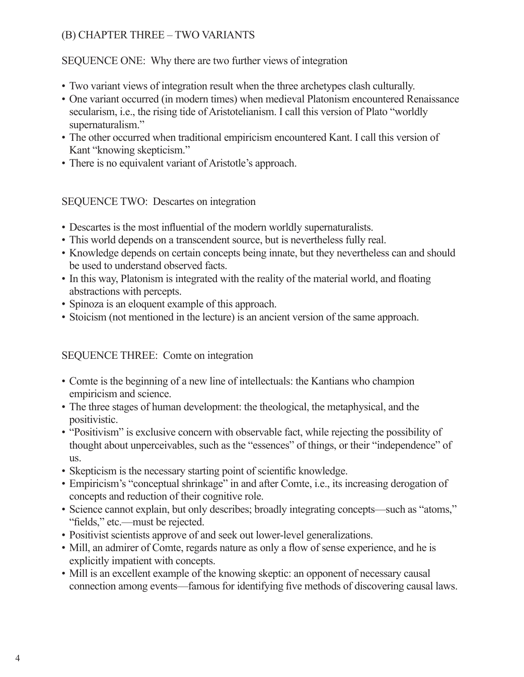# (B) CHAPTER THREE – TWO VARIANTS

### SEQUENCE ONE: Why there are two further views of integration

- Two variant views of integration result when the three archetypes clash culturally.
- One variant occurred (in modern times) when medieval Platonism encountered Renaissance secularism, i.e., the rising tide of Aristotelianism. I call this version of Plato "worldly supernaturalism."
- The other occurred when traditional empiricism encountered Kant. I call this version of Kant "knowing skepticism."
- There is no equivalent variant of Aristotle's approach.

### SEQUENCE TWO: Descartes on integration

- Descartes is the most influential of the modern worldly supernaturalists.
- This world depends on a transcendent source, but is nevertheless fully real.
- Knowledge depends on certain concepts being innate, but they nevertheless can and should be used to understand observed facts.
- In this way, Platonism is integrated with the reality of the material world, and floating abstractions with percepts.
- Spinoza is an eloquent example of this approach.
- Stoicism (not mentioned in the lecture) is an ancient version of the same approach.

### SEQUENCE THREE: Comte on integration

- Comte is the beginning of a new line of intellectuals: the Kantians who champion empiricism and science.
- The three stages of human development: the theological, the metaphysical, and the positivistic.
- "Positivism" is exclusive concern with observable fact, while rejecting the possibility of thought about unperceivables, such as the "essences" of things, or their "independence" of us.
- Skepticism is the necessary starting point of scientific knowledge.
- Empiricism's "conceptual shrinkage" in and after Comte, i.e., its increasing derogation of concepts and reduction of their cognitive role.
- Science cannot explain, but only describes; broadly integrating concepts—such as "atoms," "fields," etc.—must be rejected.
- Positivist scientists approve of and seek out lower-level generalizations.
- Mill, an admirer of Comte, regards nature as only a flow of sense experience, and he is explicitly impatient with concepts.
- Mill is an excellent example of the knowing skeptic: an opponent of necessary causal connection among events—famous for identifying five methods of discovering causal laws.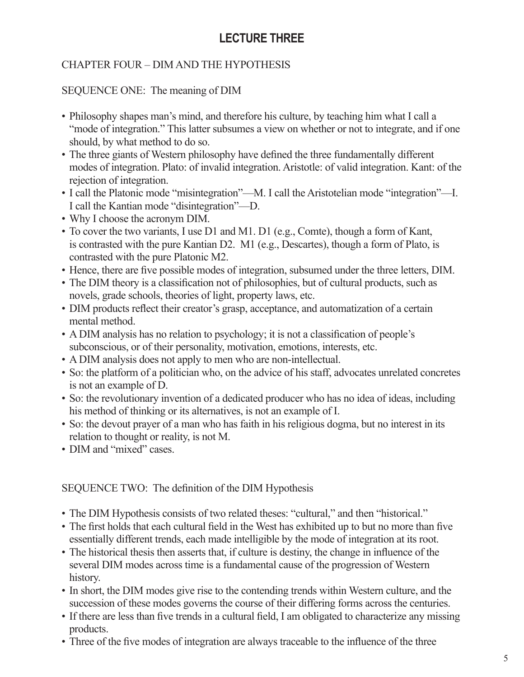# **LECTURE THREE**

# CHAPTER FOUR – DIM AND THE HYPOTHESIS

### SEQUENCE ONE: The meaning of DIM

- Philosophy shapes man's mind, and therefore his culture, by teaching him what I call a "mode of integration." This latter subsumes a view on whether or not to integrate, and if one should, by what method to do so.
- The three giants of Western philosophy have defined the three fundamentally different modes of integration. Plato: of invalid integration. Aristotle: of valid integration. Kant: of the rejection of integration.
- I call the Platonic mode "misintegration"—M. I call the Aristotelian mode "integration"—I. I call the Kantian mode "disintegration"—D.
- Why I choose the acronym DIM.
- To cover the two variants, I use D1 and M1. D1 (e.g., Comte), though a form of Kant, is contrasted with the pure Kantian D2. M1 (e.g., Descartes), though a form of Plato, is contrasted with the pure Platonic M2.
- Hence, there are five possible modes of integration, subsumed under the three letters, DIM.
- The DIM theory is a classification not of philosophies, but of cultural products, such as novels, grade schools, theories of light, property laws, etc.
- DIM products reflect their creator's grasp, acceptance, and automatization of a certain mental method.
- A DIM analysis has no relation to psychology; it is not a classification of people's subconscious, or of their personality, motivation, emotions, interests, etc.
- A DIM analysis does not apply to men who are non-intellectual.
- So: the platform of a politician who, on the advice of his staff, advocates unrelated concretes is not an example of D.
- So: the revolutionary invention of a dedicated producer who has no idea of ideas, including his method of thinking or its alternatives, is not an example of I.
- So: the devout prayer of a man who has faith in his religious dogma, but no interest in its relation to thought or reality, is not M.
- DIM and "mixed" cases

# SEQUENCE TWO: The definition of the DIM Hypothesis

- The DIM Hypothesis consists of two related theses: "cultural," and then "historical."
- The first holds that each cultural field in the West has exhibited up to but no more than five essentially different trends, each made intelligible by the mode of integration at its root.
- The historical thesis then asserts that, if culture is destiny, the change in influence of the several DIM modes across time is a fundamental cause of the progression of Western history.
- In short, the DIM modes give rise to the contending trends within Western culture, and the succession of these modes governs the course of their differing forms across the centuries.
- If there are less than five trends in a cultural field, I am obligated to characterize any missing products.
- Three of the five modes of integration are always traceable to the influence of the three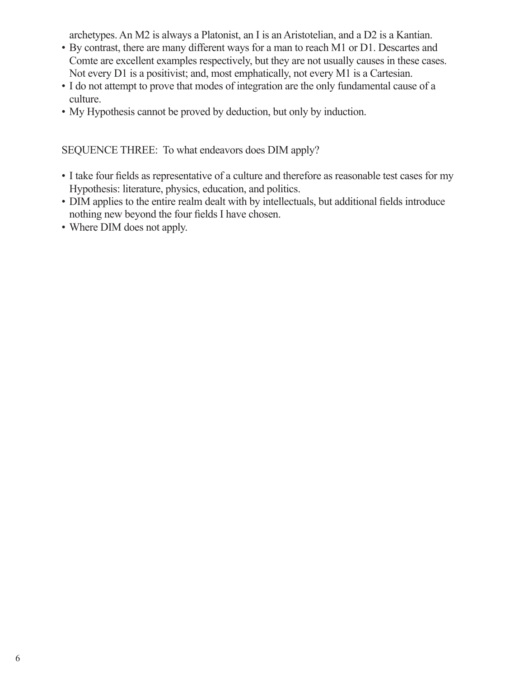archetypes. An M2 is always a Platonist, an I is an Aristotelian, and a D2 is a Kantian.

- By contrast, there are many different ways for a man to reach M1 or D1. Descartes and Comte are excellent examples respectively, but they are not usually causes in these cases. Not every D1 is a positivist; and, most emphatically, not every M1 is a Cartesian.
- I do not attempt to prove that modes of integration are the only fundamental cause of a culture.
- My Hypothesis cannot be proved by deduction, but only by induction.

SEQUENCE THREE: To what endeavors does DIM apply?

- • I take four fields as representative of a culture and therefore as reasonable test cases for my Hypothesis: literature, physics, education, and politics.
- DIM applies to the entire realm dealt with by intellectuals, but additional fields introduce nothing new beyond the four fields I have chosen.
- Where DIM does not apply.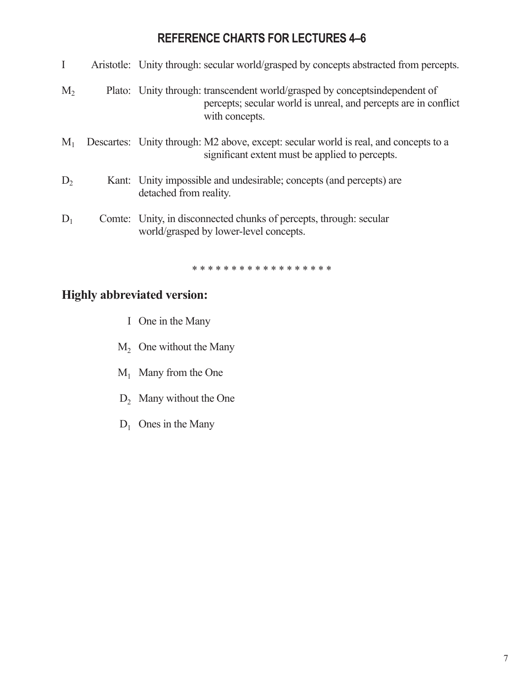# **REFERENCE CHARTS FOR LECTURES 4–6**

| I              | Aristotle: Unity through: secular world/grasped by concepts abstracted from percepts.                                                                           |  |
|----------------|-----------------------------------------------------------------------------------------------------------------------------------------------------------------|--|
| $M_{2}$        | Plato: Unity through: transcendent world/grasped by conceptsindependent of<br>percepts; secular world is unreal, and percepts are in conflict<br>with concepts. |  |
| $M_{1}$        | Descartes: Unity through: M2 above, except: secular world is real, and concepts to a<br>significant extent must be applied to percepts.                         |  |
| D <sub>2</sub> | Kant: Unity impossible and undesirable; concepts (and percepts) are<br>detached from reality.                                                                   |  |
| $D_1$          | Comte: Unity, in disconnected chunks of percepts, through: secular<br>world/grasped by lower-level concepts.                                                    |  |
|                | * * * * * * * * * * * * * * * * * *                                                                                                                             |  |

# **Highly abbreviated version:**

- I One in the Many
- $M<sub>2</sub>$  One without the Many
- $M_1$  Many from the One
- $D_2$  Many without the One
- $D_1$  Ones in the Many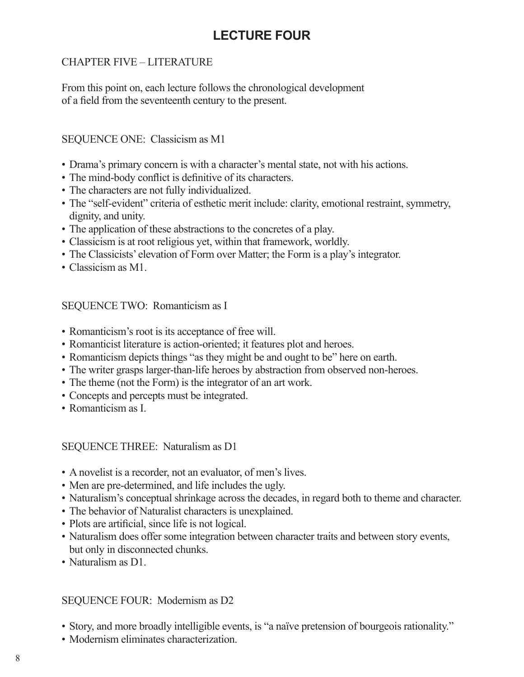# **LECTURE FOUR**

# CHAPTER FIVE – LITERATURE

From this point on, each lecture follows the chronological development of a field from the seventeenth century to the present.

### SEQUENCE ONE: Classicism as M1

- Drama's primary concern is with a character's mental state, not with his actions.
- The mind-body conflict is definitive of its characters.
- The characters are not fully individualized.
- The "self-evident" criteria of esthetic merit include: clarity, emotional restraint, symmetry, dignity, and unity.
- The application of these abstractions to the concretes of a play.
- Classicism is at root religious yet, within that framework, worldly.
- The Classicists' elevation of Form over Matter; the Form is a play's integrator.
- Classicism as M1.

### SEQUENCE TWO: Romanticism as I

- Romanticism's root is its acceptance of free will.
- Romanticist literature is action-oriented; it features plot and heroes.
- Romanticism depicts things "as they might be and ought to be" here on earth.
- The writer grasps larger-than-life heroes by abstraction from observed non-heroes.
- The theme (not the Form) is the integrator of an art work.
- Concepts and percepts must be integrated.
- Romanticism as I.

#### SEQUENCE THREE: Naturalism as D1

- A novelist is a recorder, not an evaluator, of men's lives.
- Men are pre-determined, and life includes the ugly.
- Naturalism's conceptual shrinkage across the decades, in regard both to theme and character.
- The behavior of Naturalist characters is unexplained.
- Plots are artificial, since life is not logical.
- Naturalism does offer some integration between character traits and between story events, but only in disconnected chunks.
- Naturalism as D1.

### SEQUENCE FOUR: Modernism as D2

- Story, and more broadly intelligible events, is "a naïve pretension of bourgeois rationality."
- Modernism eliminates characterization.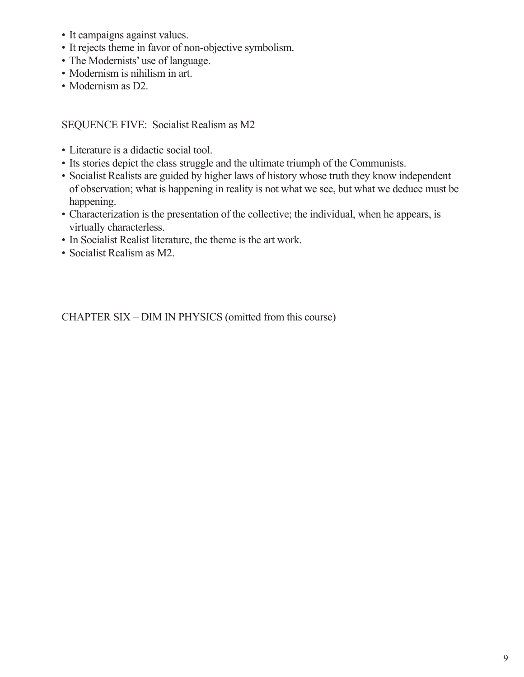- It campaigns against values.
- It rejects theme in favor of non-objective symbolism.
- The Modernists' use of language.
- Modernism is nihilism in art.
- Modernism as D2.

SEQUENCE FIVE: Socialist Realism as M2

- Literature is a didactic social tool.
- Its stories depict the class struggle and the ultimate triumph of the Communists.
- Socialist Realists are guided by higher laws of history whose truth they know independent of observation; what is happening in reality is not what we see, but what we deduce must be happening.
- Characterization is the presentation of the collective; the individual, when he appears, is virtually characterless.
- In Socialist Realist literature, the theme is the art work.
- Socialist Realism as M2.

CHAPTER SIX – DIM IN PHYSICS (omitted from this course)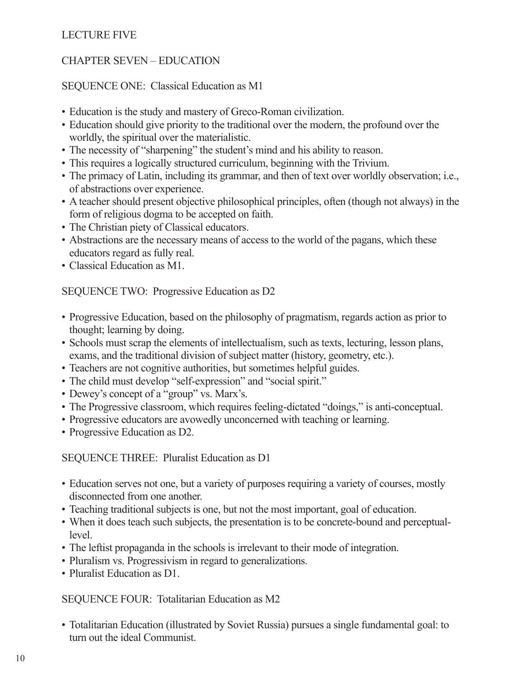### LECTURE FIVE

### CHAPTER SEVEN – EDUCATION

### SEQUENCE ONE: Classical Education as M1

- Education is the study and mastery of Greco-Roman civilization.
- Education should give priority to the traditional over the modern, the profound over the worldly, the spiritual over the materialistic.
- The necessity of "sharpening" the student's mind and his ability to reason.
- This requires a logically structured curriculum, beginning with the Trivium.
- The primacy of Latin, including its grammar, and then of text over worldly observation; i.e., of abstractions over experience.
- A teacher should present objective philosophical principles, often (though not always) in the form of religious dogma to be accepted on faith.
- The Christian piety of Classical educators.
- Abstractions are the necessary means of access to the world of the pagans, which these educators regard as fully real.
- Classical Education as M1.

SEQUENCE TWO: Progressive Education as D2

- Progressive Education, based on the philosophy of pragmatism, regards action as prior to thought; learning by doing.
- Schools must scrap the elements of intellectualism, such as texts, lecturing, lesson plans, exams, and the traditional division of subject matter (history, geometry, etc.).
- Teachers are not cognitive authorities, but sometimes helpful guides.
- The child must develop "self-expression" and "social spirit."
- Dewey's concept of a "group" vs. Marx's.
- The Progressive classroom, which requires feeling-dictated "doings," is anti-conceptual.
- Progressive educators are avowedly unconcerned with teaching or learning.
- Progressive Education as D2.

SEQUENCE THREE: Pluralist Education as D1

- Education serves not one, but a variety of purposes requiring a variety of courses, mostly disconnected from one another.
- Teaching traditional subjects is one, but not the most important, goal of education.
- When it does teach such subjects, the presentation is to be concrete-bound and perceptuallevel.
- The leftist propaganda in the schools is irrelevant to their mode of integration.
- Pluralism vs. Progressivism in regard to generalizations.
- Pluralist Education as D1.

SEQUENCE FOUR: Totalitarian Education as M2

• Totalitarian Education (illustrated by Soviet Russia) pursues a single fundamental goal: to turn out the ideal Communist.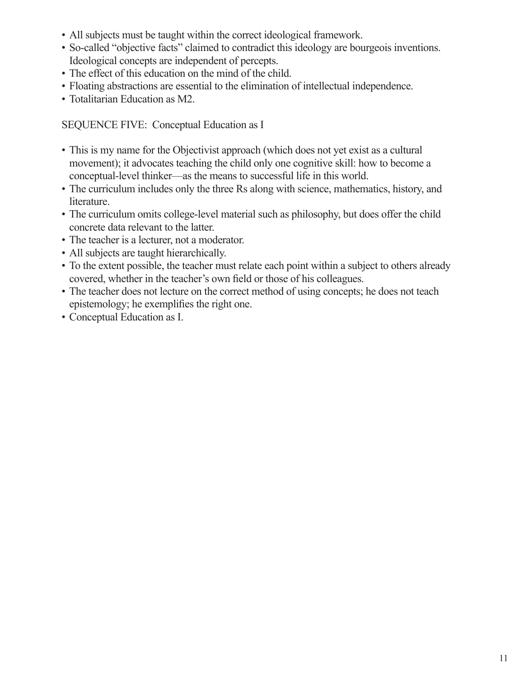- All subjects must be taught within the correct ideological framework.
- So-called "objective facts" claimed to contradict this ideology are bourgeois inventions. Ideological concepts are independent of percepts.
- The effect of this education on the mind of the child.
- Floating abstractions are essential to the elimination of intellectual independence.
- Totalitarian Education as M2.

SEQUENCE FIVE: Conceptual Education as I

- This is my name for the Objectivist approach (which does not yet exist as a cultural movement); it advocates teaching the child only one cognitive skill: how to become a conceptual-level thinker—as the means to successful life in this world.
- The curriculum includes only the three Rs along with science, mathematics, history, and literature.
- The curriculum omits college-level material such as philosophy, but does offer the child concrete data relevant to the latter.
- The teacher is a lecturer, not a moderator.
- All subjects are taught hierarchically.
- To the extent possible, the teacher must relate each point within a subject to others already covered, whether in the teacher's own field or those of his colleagues.
- The teacher does not lecture on the correct method of using concepts; he does not teach epistemology; he exemplifies the right one.
- Conceptual Education as I.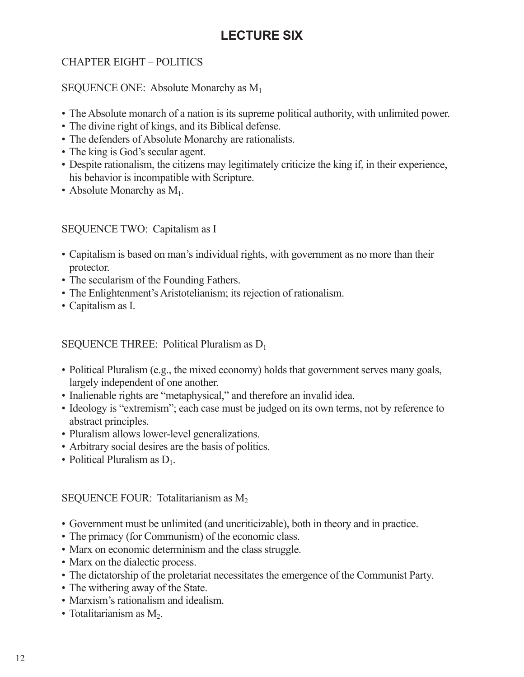# **LECTURE SIX**

# CHAPTER EIGHT – POLITICS

### SEQUENCE ONE: Absolute Monarchy as  $M_1$

- The Absolute monarch of a nation is its supreme political authority, with unlimited power.
- The divine right of kings, and its Biblical defense.
- The defenders of Absolute Monarchy are rationalists.
- The king is God's secular agent.
- Despite rationalism, the citizens may legitimately criticize the king if, in their experience, his behavior is incompatible with Scripture.
- Absolute Monarchy as  $M_1$ .

### SEQUENCE TWO: Capitalism as I

- Capitalism is based on man's individual rights, with government as no more than their protector.
- The secularism of the Founding Fathers.
- The Enlightenment's Aristotelianism; its rejection of rationalism.
- Capitalism as I.

SEQUENCE THREE: Political Pluralism as  $D_1$ 

- Political Pluralism (e.g., the mixed economy) holds that government serves many goals, largely independent of one another.
- Inalienable rights are "metaphysical," and therefore an invalid idea.
- Ideology is "extremism"; each case must be judged on its own terms, not by reference to abstract principles.
- Pluralism allows lower-level generalizations.
- Arbitrary social desires are the basis of politics.
- Political Pluralism as  $D_1$ .

### SEQUENCE FOUR: Totalitarianism as  $M_2$

- Government must be unlimited (and uncriticizable), both in theory and in practice.
- The primacy (for Communism) of the economic class.
- Marx on economic determinism and the class struggle.
- Marx on the dialectic process.
- The dictatorship of the proletariat necessitates the emergence of the Communist Party.
- The withering away of the State.
- Marxism's rationalism and idealism.
- Totalitarianism as  $M_2$ .